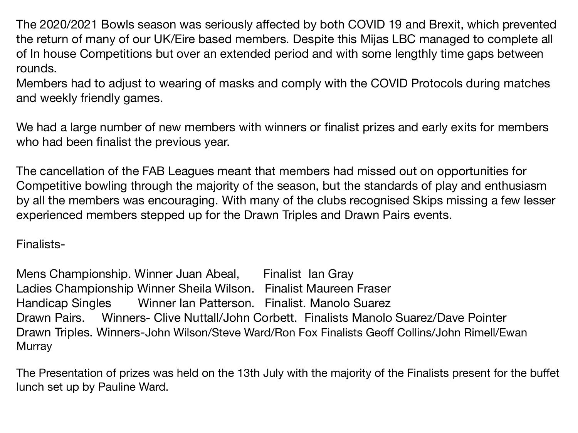The 2020/2021 Bowls season was seriously affected by both COVID 19 and Brexit, which prevented the return of many of our UK/Eire based members. Despite this Mijas LBC managed to complete all of In house Competitions but over an extended period and with some lengthly time gaps between rounds.

Members had to adjust to wearing of masks and comply with the COVID Protocols during matches and weekly friendly games.

We had a large number of new members with winners or finalist prizes and early exits for members who had been finalist the previous year.

The cancellation of the FAB Leagues meant that members had missed out on opportunities for Competitive bowling through the majority of the season, but the standards of play and enthusiasm by all the members was encouraging. With many of the clubs recognised Skips missing a few lesser experienced members stepped up for the Drawn Triples and Drawn Pairs events.

Finalists-

Mens Championship. Winner Juan Abeal, Finalist Ian Gray Ladies Championship Winner Sheila Wilson. Finalist Maureen Fraser Handicap Singles Winner Ian Patterson. Finalist. Manolo Suarez Drawn Pairs. Winners- Clive Nuttall/John Corbett. Finalists Manolo Suarez/Dave Pointer Drawn Triples. Winners-John Wilson/Steve Ward/Ron Fox Finalists Geoff Collins/John Rimell/Ewan **Murray** 

The Presentation of prizes was held on the 13th July with the majority of the Finalists present for the buffet lunch set up by Pauline Ward.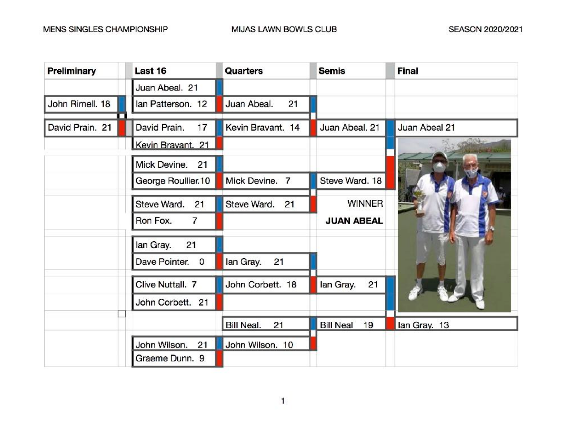| Preliminary     | Last 16            | Quarters          | <b>Semis</b>           | Final         |
|-----------------|--------------------|-------------------|------------------------|---------------|
|                 | Juan Abeal. 21     |                   |                        |               |
| John Rimell. 18 | lan Patterson. 12  | Juan Abeal.<br>21 |                        |               |
|                 |                    |                   |                        |               |
| David Prain. 21 | 17<br>David Prain. | Kevin Bravant. 14 | Juan Abeal. 21         | Juan Abeal 21 |
|                 | Kevin Bravant. 21  |                   |                        |               |
|                 | Mick Devine. 21    |                   |                        |               |
|                 | George Roullier.10 | Mick Devine. 7    | Steve Ward. 18         |               |
|                 | Steve Ward.<br>21  | Steve Ward. 21    | <b>WINNER</b>          |               |
|                 | 7<br>Ron Fox.      |                   | <b>JUAN ABEAL</b>      |               |
|                 | lan Gray.<br>21    |                   |                        |               |
|                 | Dave Pointer. 0    | 21<br>lan Gray.   |                        |               |
|                 | Clive Nuttall. 7   | John Corbett. 18  | 21<br>lan Gray.        |               |
|                 | John Corbett. 21   |                   |                        |               |
|                 |                    | Bill Neal. 21     | <b>Bill Neal</b><br>19 | lan Gray. 13  |
|                 | John Wilson. 21    | John Wilson. 10   |                        |               |
|                 | Graeme Dunn. 9     |                   |                        |               |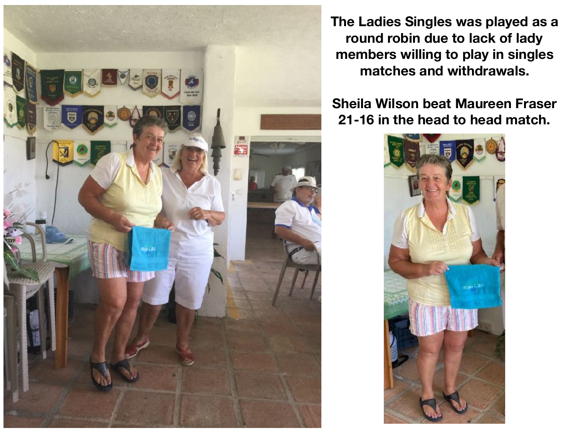

**The Ladies Singles was played as a round robin due to lack of lady members willing to play in singles matches and withdrawals.** 

# **Sheila Wilson beat Maureen Fraser 21-16 in the head to head match.**

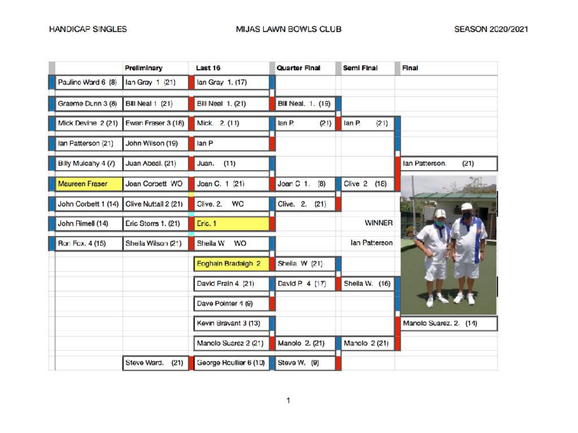|                       | Preliminary             | Last 16                | <b>Quarter Final</b> | Semi Final     | Final                  |
|-----------------------|-------------------------|------------------------|----------------------|----------------|------------------------|
| Pauline Ward 6 (8)    | lan Gray 1 (21)         | lan Gray 1. (17)       |                      |                |                        |
| Graeme Dunn 3 (8)     | <b>Bill Neal 1 (21)</b> | Bill Neal 1. (21)      | Bill Neal. 1. (19)   |                |                        |
| Mick Devine 2 (21)    | Ewan Fraser 3 (18)      | Mick. 2. (11)          | (21)<br>lan P.       | lan P.<br>(21) |                        |
| Ian Patterson (21)    | John Wilson (19)        | lan P                  |                      |                |                        |
| Billy Mulcahy 4 (7)   | Juan Abeal. (21)        | Juan.<br>(11)          |                      |                | lan Patterson.<br>(21) |
| <b>Maureen Fraser</b> | Joan Corpett WO         | Joan C. 1 (21)         | $Joan C1$ .<br>(8)   | Clive 2 (18)   | $z_{\text{max}}$       |
| John Corbett 1 (14)   | Clive Nuttall 2 (21)    | Clive. 2.<br>WO        | Clive. 2.<br>(21)    |                |                        |
| John Rimell (14)      | Eric Storrs 1. (21)     | Eric. 1                |                      | <b>WINNER</b>  |                        |
| Ron Fox. 4 (15)       | Shella Wilson (21)      | Sheila W<br><b>WO</b>  |                      | lan Patterson  |                        |
|                       |                         | Eoghain Bradaigh 2     | Sheila W (21)        |                |                        |
|                       |                         | David Frain 4. (21)    | David P. 4 (17)      | Sheila W. (16) |                        |
|                       |                         | Dave Pointer 4 (9)     |                      |                |                        |
|                       |                         | Kevin Bravant 3 (13)   |                      |                | Manolo Suarez. 2. (14) |
|                       |                         | Manolo Suarez 2 (21)   | Manolo 2. (21)       | Manolo 2 (21)  |                        |
|                       | (21)<br>Steve Ward.     | George Roullier 6 (10) | Steve W. (9)         |                |                        |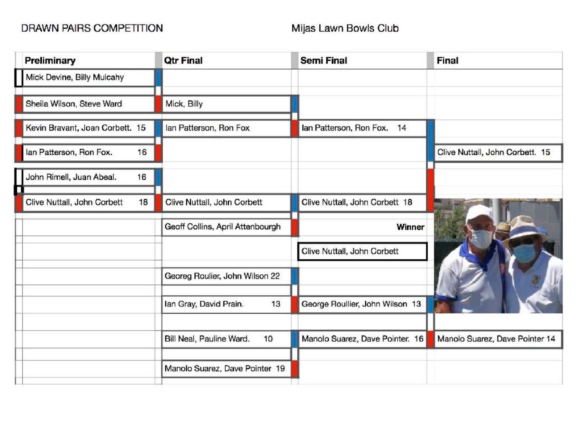### DRAWN PAIRS COMPETITION

## Mijas Lawn Bowls Club

| Preliminary                       | <b>Qtr Final</b>                 | Semi Final                      | Final                           |
|-----------------------------------|----------------------------------|---------------------------------|---------------------------------|
| Mick Devine, Billy Mulcahy        |                                  |                                 |                                 |
| Sheila Wilson, Steve Ward         | Mick, Billy                      |                                 |                                 |
| Kevin Bravant, Joan Corbett. 15   | lan Patterson, Ron Fox           | lan Patterson, Ron Fox. 14      |                                 |
| 16<br>lan Patterson, Ron Fox.     |                                  |                                 | Clive Nuttall, John Corbett. 15 |
| John Rimell, Juan Abeal.<br>16    |                                  |                                 |                                 |
| Clive Nuttall, John Corbett<br>18 | Clive Nuttall, John Corbett      | Clive Nuttall, John Corbett 18  |                                 |
|                                   | Geoff Collins, April Attenbourgh | Winner                          |                                 |
|                                   |                                  | Clive Nuttall, John Corbett     |                                 |
|                                   | Georeg Roulier, John Wilson 22   |                                 |                                 |
|                                   | 13<br>Ian Gray, David Prain.     | George Roullier, John Wilson 13 |                                 |
|                                   | Bill Neal, Pauline Ward.<br>10   | Manolo Suarez, Dave Pointer. 16 | Manolo Suarez, Dave Pointer 14  |
|                                   | Manolo Suarez, Dave Pointer 19   |                                 |                                 |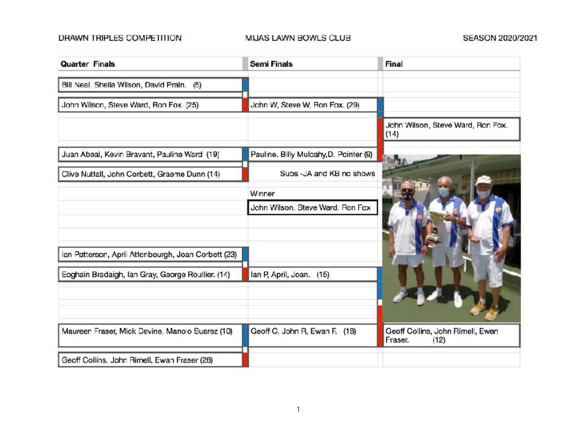### DRAWN TRIPLES COMPETITION

#### MIJAS LAWN BOWLS CLUB

SEASON 2020/2021

| <b>Quarter Finals</b>                               | <b>Semi Finals</b>                     | Final                                               |
|-----------------------------------------------------|----------------------------------------|-----------------------------------------------------|
| Bill Neal, Sheila Wilson, David Prain. (5)          |                                        |                                                     |
| John Wilson, Steve Ward, Ron Fox. (25)              | John W, Steve W, Ron Fox. (29)         |                                                     |
|                                                     |                                        | John Wilson, Steve Ward, Ron Fox.<br>(14)           |
| Juan Abeal, Kevin Bravant, Pauline Ward (19)        | Pauline. Billy Mulcahy, D. Pcinter (9) |                                                     |
| Clive Nuttall, John Corbett, Graeme Dunn (14)       | Subs -JA and KB no shows               |                                                     |
|                                                     | Winner                                 |                                                     |
|                                                     | John Wilson, Steve Ward, Ron Fox       |                                                     |
|                                                     |                                        |                                                     |
| lan Patterson, April Attenbourgh, Joan Corbett (23) |                                        |                                                     |
| Eoghain Bradaigh, Ian Gray, George Roullier. (14)   | Ian P, April, Joan. (15)               |                                                     |
|                                                     |                                        |                                                     |
| Maureen Fraser, Mick Devine, Manolo Suarez (10)     | Geoff C, John R, Ewan F. (18)          | Geoff Collins, John Rimell, Ewan<br>Fraser.<br>(12) |
| Geoff Collins, John Rimell, Ewan Fraser (28)        |                                        |                                                     |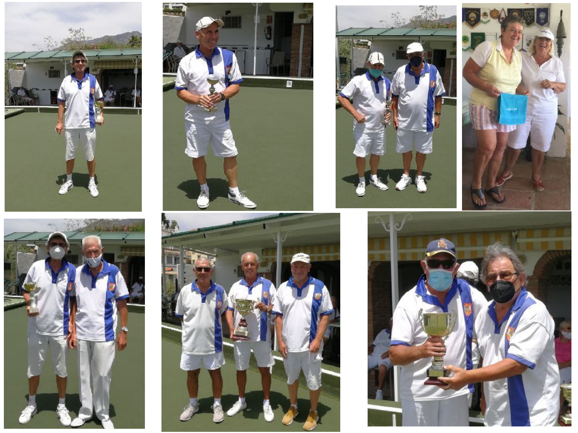











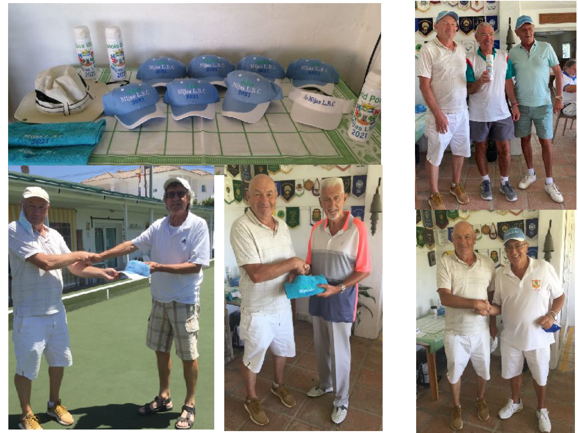



PO